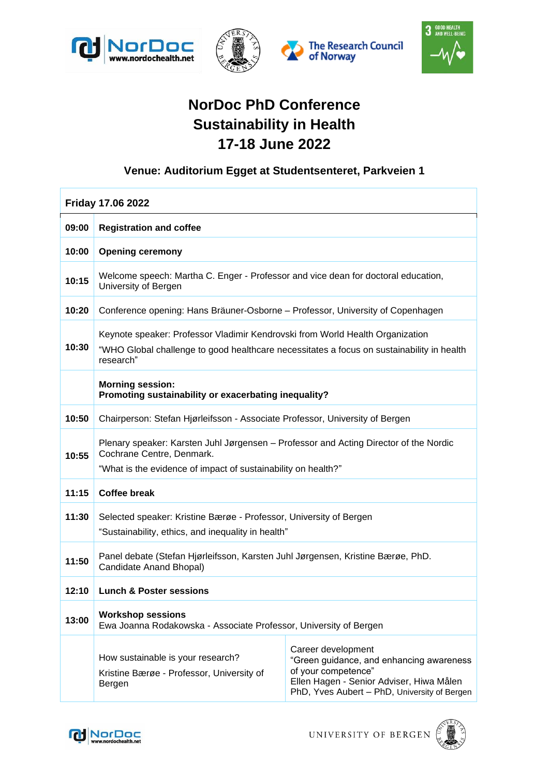







## **NorDoc PhD Conference Sustainability in Health 17-18 June 2022**

## **Venue: Auditorium Egget at Studentsenteret, Parkveien 1**

| <b>Friday 17.06 2022</b> |                                                                                                                                                                                         |                                                                                                                                                                                   |  |  |
|--------------------------|-----------------------------------------------------------------------------------------------------------------------------------------------------------------------------------------|-----------------------------------------------------------------------------------------------------------------------------------------------------------------------------------|--|--|
| 09:00                    | <b>Registration and coffee</b>                                                                                                                                                          |                                                                                                                                                                                   |  |  |
| 10:00                    | <b>Opening ceremony</b>                                                                                                                                                                 |                                                                                                                                                                                   |  |  |
| 10:15                    | Welcome speech: Martha C. Enger - Professor and vice dean for doctoral education,<br>University of Bergen                                                                               |                                                                                                                                                                                   |  |  |
| 10:20                    | Conference opening: Hans Bräuner-Osborne – Professor, University of Copenhagen                                                                                                          |                                                                                                                                                                                   |  |  |
| 10:30                    | Keynote speaker: Professor Vladimir Kendrovski from World Health Organization<br>"WHO Global challenge to good healthcare necessitates a focus on sustainability in health<br>research" |                                                                                                                                                                                   |  |  |
|                          | <b>Morning session:</b><br>Promoting sustainability or exacerbating inequality?                                                                                                         |                                                                                                                                                                                   |  |  |
| 10:50                    | Chairperson: Stefan Hjørleifsson - Associate Professor, University of Bergen                                                                                                            |                                                                                                                                                                                   |  |  |
| 10:55                    | Plenary speaker: Karsten Juhl Jørgensen - Professor and Acting Director of the Nordic<br>Cochrane Centre, Denmark.<br>"What is the evidence of impact of sustainability on health?"     |                                                                                                                                                                                   |  |  |
| 11:15                    | <b>Coffee break</b>                                                                                                                                                                     |                                                                                                                                                                                   |  |  |
| 11:30                    | Selected speaker: Kristine Bærøe - Professor, University of Bergen<br>"Sustainability, ethics, and inequality in health"                                                                |                                                                                                                                                                                   |  |  |
| 11:50                    | Panel debate (Stefan Hjørleifsson, Karsten Juhl Jørgensen, Kristine Bærøe, PhD.<br>Candidate Anand Bhopal)                                                                              |                                                                                                                                                                                   |  |  |
| 12:10                    | <b>Lunch &amp; Poster sessions</b>                                                                                                                                                      |                                                                                                                                                                                   |  |  |
| 13:00                    | <b>Workshop sessions</b><br>Ewa Joanna Rodakowska - Associate Professor, University of Bergen                                                                                           |                                                                                                                                                                                   |  |  |
|                          | How sustainable is your research?<br>Kristine Bærøe - Professor, University of<br>Bergen                                                                                                | Career development<br>"Green guidance, and enhancing awareness<br>of your competence"<br>Ellen Hagen - Senior Adviser, Hiwa Målen<br>PhD, Yves Aubert - PhD, University of Bergen |  |  |



UNIVERSITY OF BERGEN

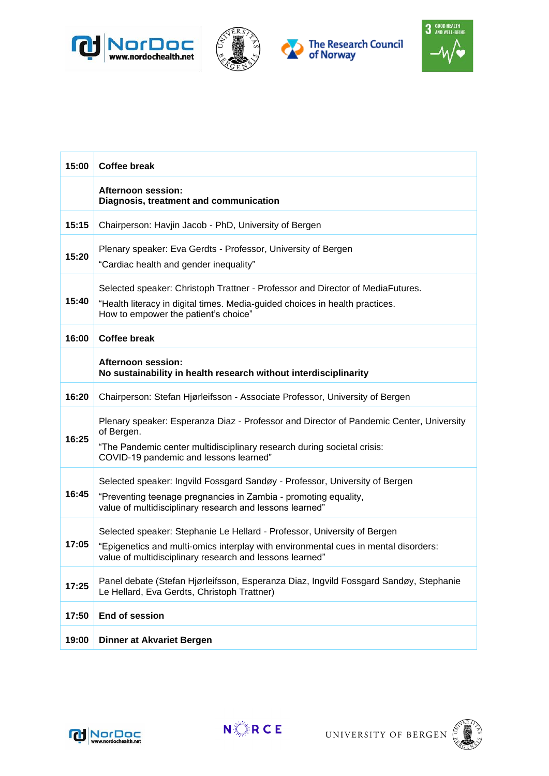







| 15:00 | <b>Coffee break</b>                                                                                                                                                                                                         |  |  |
|-------|-----------------------------------------------------------------------------------------------------------------------------------------------------------------------------------------------------------------------------|--|--|
|       | Afternoon session:<br>Diagnosis, treatment and communication                                                                                                                                                                |  |  |
| 15:15 | Chairperson: Havjin Jacob - PhD, University of Bergen                                                                                                                                                                       |  |  |
| 15:20 | Plenary speaker: Eva Gerdts - Professor, University of Bergen<br>"Cardiac health and gender inequality"                                                                                                                     |  |  |
| 15:40 | Selected speaker: Christoph Trattner - Professor and Director of MediaFutures.<br>"Health literacy in digital times. Media-guided choices in health practices.<br>How to empower the patient's choice"                      |  |  |
| 16:00 | <b>Coffee break</b>                                                                                                                                                                                                         |  |  |
|       | Afternoon session:<br>No sustainability in health research without interdisciplinarity                                                                                                                                      |  |  |
| 16:20 | Chairperson: Stefan Hjørleifsson - Associate Professor, University of Bergen                                                                                                                                                |  |  |
| 16:25 | Plenary speaker: Esperanza Diaz - Professor and Director of Pandemic Center, University<br>of Bergen.<br>"The Pandemic center multidisciplinary research during societal crisis:<br>COVID-19 pandemic and lessons learned"  |  |  |
| 16:45 | Selected speaker: Ingvild Fossgard Sandøy - Professor, University of Bergen<br>"Preventing teenage pregnancies in Zambia - promoting equality,<br>value of multidisciplinary research and lessons learned"                  |  |  |
| 17:05 | Selected speaker: Stephanie Le Hellard - Professor, University of Bergen<br>"Epigenetics and multi-omics interplay with environmental cues in mental disorders:<br>value of multidisciplinary research and lessons learned" |  |  |
| 17:25 | Panel debate (Stefan Hjørleifsson, Esperanza Diaz, Ingvild Fossgard Sandøy, Stephanie<br>Le Hellard, Eva Gerdts, Christoph Trattner)                                                                                        |  |  |
| 17:50 | End of session                                                                                                                                                                                                              |  |  |
| 19:00 | <b>Dinner at Akvariet Bergen</b>                                                                                                                                                                                            |  |  |



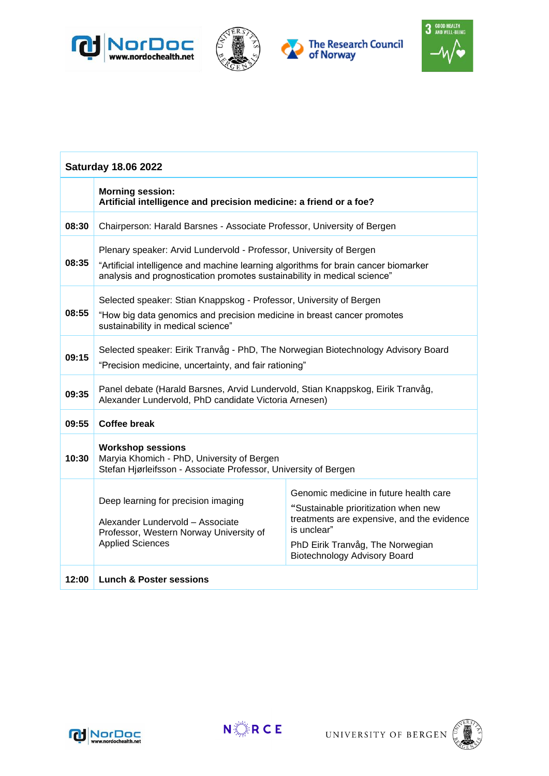







| <b>Saturday 18.06 2022</b> |                                                                                                                                                                                                                                        |                                                                                                                                                                                                                        |  |  |
|----------------------------|----------------------------------------------------------------------------------------------------------------------------------------------------------------------------------------------------------------------------------------|------------------------------------------------------------------------------------------------------------------------------------------------------------------------------------------------------------------------|--|--|
|                            | <b>Morning session:</b><br>Artificial intelligence and precision medicine: a friend or a foe?                                                                                                                                          |                                                                                                                                                                                                                        |  |  |
| 08:30                      | Chairperson: Harald Barsnes - Associate Professor, University of Bergen                                                                                                                                                                |                                                                                                                                                                                                                        |  |  |
| 08:35                      | Plenary speaker: Arvid Lundervold - Professor, University of Bergen<br>"Artificial intelligence and machine learning algorithms for brain cancer biomarker<br>analysis and prognostication promotes sustainability in medical science" |                                                                                                                                                                                                                        |  |  |
| 08:55                      | Selected speaker: Stian Knappskog - Professor, University of Bergen<br>"How big data genomics and precision medicine in breast cancer promotes<br>sustainability in medical science"                                                   |                                                                                                                                                                                                                        |  |  |
| 09:15                      | Selected speaker: Eirik Tranvåg - PhD, The Norwegian Biotechnology Advisory Board<br>"Precision medicine, uncertainty, and fair rationing"                                                                                             |                                                                                                                                                                                                                        |  |  |
| 09:35                      | Panel debate (Harald Barsnes, Arvid Lundervold, Stian Knappskog, Eirik Tranvåg,<br>Alexander Lundervold, PhD candidate Victoria Arnesen)                                                                                               |                                                                                                                                                                                                                        |  |  |
| 09:55                      | <b>Coffee break</b>                                                                                                                                                                                                                    |                                                                                                                                                                                                                        |  |  |
| 10:30                      | <b>Workshop sessions</b><br>Maryia Khomich - PhD, University of Bergen<br>Stefan Hjørleifsson - Associate Professor, University of Bergen                                                                                              |                                                                                                                                                                                                                        |  |  |
|                            | Deep learning for precision imaging<br>Alexander Lundervold - Associate<br>Professor, Western Norway University of<br><b>Applied Sciences</b>                                                                                          | Genomic medicine in future health care<br>"Sustainable prioritization when new<br>treatments are expensive, and the evidence<br>is unclear"<br>PhD Eirik Tranvåg, The Norwegian<br><b>Biotechnology Advisory Board</b> |  |  |
| 12:00                      | <b>Lunch &amp; Poster sessions</b>                                                                                                                                                                                                     |                                                                                                                                                                                                                        |  |  |